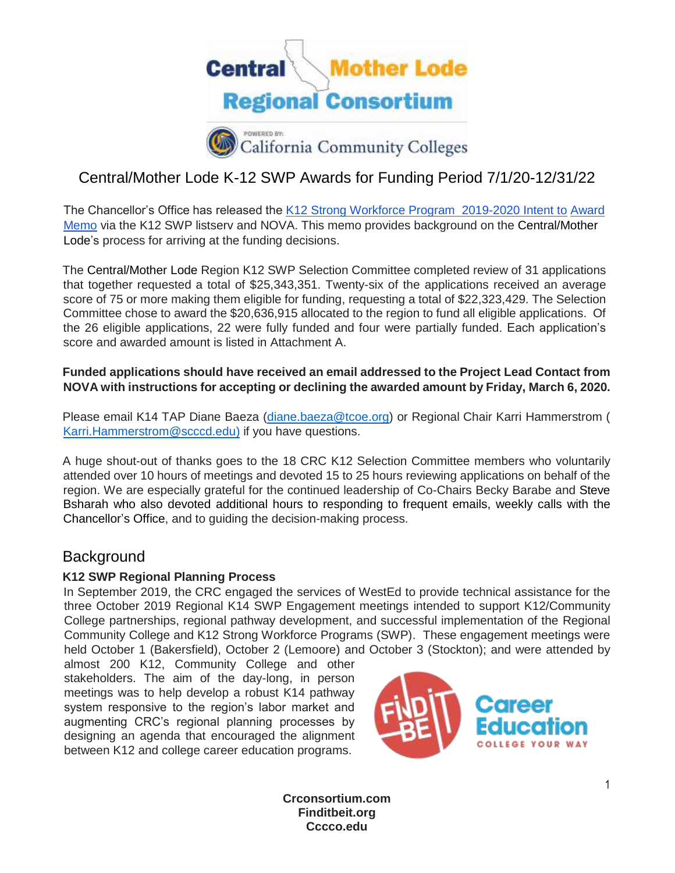

# Central/Mother Lode K-12 SWP Awards for Funding Period 7/1/20-12/31/22

[The Chancellor's Office has released the](https://extranet.cccco.edu/Portals/1/WED/Memos/2019%20Memos/K12SWP/2018-19%20K12%20SWP_%20Intent%20to%20Award%204-30-19.pdf) [K12 Strong Workforce Program](https://drive.google.com/file/d/1CM3tIVY1qQwvyZCTlbuXFgyzptp1Me-R/view?usp=sharing) [2019-2](https://extranet.cccco.edu/Portals/1/WED/Memos/2019%20Memos/K12SWP/2018-19%20K12%20SWP_%20Intent%20to%20Award%204-30-19.pdf)020 [Intent to](https://extranet.cccco.edu/Portals/1/WED/Memos/2019%20Memos/K12SWP/2018-19%20K12%20SWP_%20Intent%20to%20Award%204-30-19.pdf) [Award](https://extranet.cccco.edu/Portals/1/WED/Memos/2019%20Memos/K12SWP/2018-19%20K12%20SWP_%20Intent%20to%20Award%204-30-19.pdf)  [Memo](https://extranet.cccco.edu/Portals/1/WED/Memos/2019%20Memos/K12SWP/2018-19%20K12%20SWP_%20Intent%20to%20Award%204-30-19.pdf) via the K12 SWP listserv [and NOVA. This memo provides background on the Central/Mother](https://extranet.cccco.edu/Portals/1/WED/Memos/2019%20Memos/K12SWP/2018-19%20K12%20SWP_%20Intent%20to%20Award%204-30-19.pdf)  [Lode's p](https://extranet.cccco.edu/Portals/1/WED/Memos/2019%20Memos/K12SWP/2018-19%20K12%20SWP_%20Intent%20to%20Award%204-30-19.pdf)rocess for arriving at the funding decisions.

The Central/Mother Lode Region K12 SWP Selection Committee completed review of 31 applications that together requested a total of \$25,343,351. Twenty-six of the applications received an average score of 75 or more making them eligible for funding, requesting a total of \$22,323,429. The Selection Committee chose to award the \$20,636,915 allocated to the region to fund all eligible applications. Of the 26 eligible applications, 22 were fully funded and four were partially funded. Each application's score and awarded amount is listed in Attachment A.

### **Funded applications should have received an email addressed to the Project Lead Contact from NOVA with instructions for accepting or declining the awarded amount by Friday, March 6, 2020.**

Please email K14 TAP Diane Baeza [\(diane.baeza@tcoe.org\)](mailto:diane.baeza@tcoe.org) or Regional Chair Karri Hammerstrom ( [Karri.Hammerstrom@scccd.edu\)](mailto:Karri.Hammerstrom@scccd.edu) if you have questions.

A huge shout-out of thanks goes to the 18 CRC K12 Selection Committee members who voluntarily attended over 10 hours of meetings and devoted 15 to 25 hours reviewing applications on behalf of the region. We are especially grateful for the continued leadership of Co-Chairs Becky Barabe and Steve Bsharah who also devoted additional hours to responding to frequent emails, weekly calls with the Chancellor's Office, and to guiding the decision-making process.

# Background

### **K12 SWP Regional Planning Process**

In September 2019, the CRC engaged the services of WestEd to provide technical assistance for the three October 2019 Regional K14 SWP Engagement meetings intended to support K12/Community College partnerships, regional pathway development, and successful implementation of the Regional Community College and K12 Strong Workforce Programs (SWP). These engagement meetings were held October 1 (Bakersfield), October 2 (Lemoore) and October 3 (Stockton); and were attended by

almost 200 K12, Community College and other stakeholders. The aim of the day-long, in person meetings was to help develop a robust K14 pathway system responsive to the region's labor market and augmenting CRC's regional planning processes by designing an agenda that encouraged the alignment between K12 and college career education programs.



**Crconsortium.com Finditbeit.org Cccco.edu**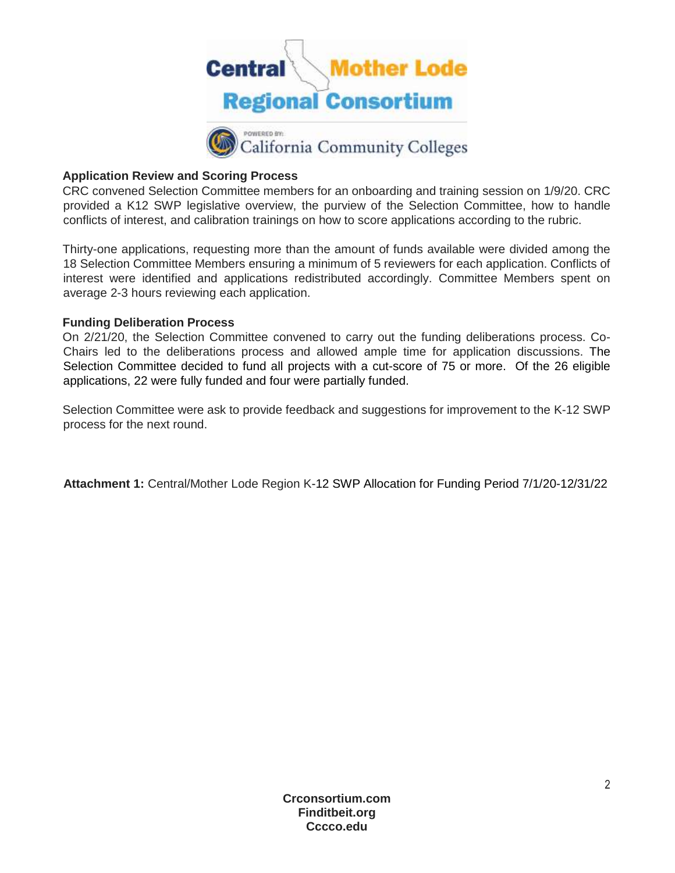

#### **Application Review and Scoring Process**

CRC convened Selection Committee members for an onboarding and training session on 1/9/20. CRC provided a K12 SWP legislative overview, the purview of the Selection Committee, how to handle conflicts of interest, and calibration trainings on how to score applications according to the rubric.

Thirty-one applications, requesting more than the amount of funds available were divided among the 18 Selection Committee Members ensuring a minimum of 5 reviewers for each application. Conflicts of interest were identified and applications redistributed accordingly. Committee Members spent on average 2-3 hours reviewing each application.

#### **Funding Deliberation Process**

On 2/21/20, the Selection Committee convened to carry out the funding deliberations process. Co-Chairs led to the deliberations process and allowed ample time for application discussions. The Selection Committee decided to fund all projects with a cut-score of 75 or more. Of the 26 eligible applications, 22 were fully funded and four were partially funded.

Selection Committee were ask to provide feedback and suggestions for improvement to the K-12 SWP process for the next round.

**Attachment 1:** Central/Mother Lode Region [K-1](https://docs.google.com/spreadsheets/d/1ta7UOA_VhEsPIt6P-ZZeQw77qJae9Hv61lRRwlRSgx8/edit#gid=0)2 SWP Allocation for Funding Period 7/1/2[0-1](https://docs.google.com/spreadsheets/d/1ta7UOA_VhEsPIt6P-ZZeQw77qJae9Hv61lRRwlRSgx8/edit#gid=0)2/31/2[2](https://docs.google.com/spreadsheets/d/1ta7UOA_VhEsPIt6P-ZZeQw77qJae9Hv61lRRwlRSgx8/edit#gid=0)